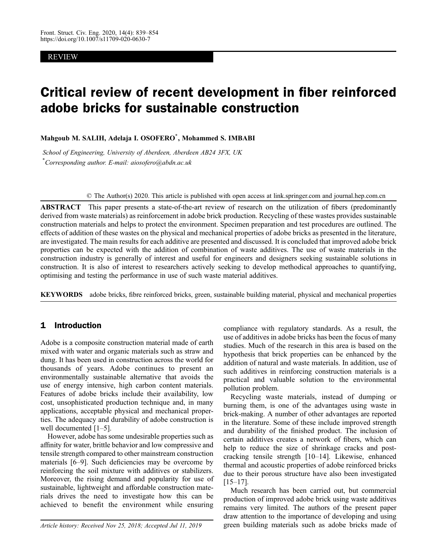# REVIEW

# Critical review of recent development in fiber reinforced adobe bricks for sustainable construction

Mahgoub M. SALIH, Adelaja I. OSOFERO\* , Mohammed S. IMBABI

School of Engineering, University of Aberdeen, Aberdeen AB24 3FX, UK \* Corresponding author. E-mail: aiosofero@abdn.ac.uk

© The Author(s) 2020. This article is published with open access at link.springer.com and journal.hep.com.cn

ABSTRACT This paper presents a state-of-the-art review of research on the utilization of fibers (predominantly derived from waste materials) as reinforcement in adobe brick production. Recycling of these wastes provides sustainable construction materials and helps to protect the environment. Specimen preparation and test procedures are outlined. The effects of addition of these wastes on the physical and mechanical properties of adobe bricks as presented in the literature, are investigated. The main results for each additive are presented and discussed. It is concluded that improved adobe brick properties can be expected with the addition of combination of waste additives. The use of waste materials in the construction industry is generally of interest and useful for engineers and designers seeking sustainable solutions in construction. It is also of interest to researchers actively seeking to develop methodical approaches to quantifying, optimising and testing the performance in use of such waste material additives.

KEYWORDS adobe bricks, fibre reinforced bricks, green, sustainable building material, physical and mechanical properties

# 1 Introduction

Adobe is a composite construction material made of earth mixed with water and organic materials such as straw and dung. It has been used in construction across the world for thousands of years. Adobe continues to present an environmentally sustainable alternative that avoids the use of energy intensive, high carbon content materials. Features of adobe bricks include their availability, low cost, unsophisticated production technique and, in many applications, acceptable physical and mechanical properties. The adequacy and durability of adobe construction is well documented [[1](#page-12-0)–[5](#page-12-0)].

However, adobe has some undesirable properties such as affinity for water, brittle behavior and low compressive and tensile strength compared to other mainstream construction materials [\[6](#page-12-0)–[9\]](#page-12-0). Such deficiencies may be overcome by reinforcing the soil mixture with additives or stabilizers. Moreover, the rising demand and popularity for use of sustainable, lightweight and affordable construction materials drives the need to investigate how this can be achieved to benefit the environment while ensuring

compliance with regulatory standards. As a result, the use of additives in adobe bricks has been the focus of many studies. Much of the research in this area is based on the hypothesis that brick properties can be enhanced by the addition of natural and waste materials. In addition, use of such additives in reinforcing construction materials is a practical and valuable solution to the environmental pollution problem.

Recycling waste materials, instead of dumping or burning them, is one of the advantages using waste in brick-making. A number of other advantages are reported in the literature. Some of these include improved strength and durability of the finished product. The inclusion of certain additives creates a network of fibers, which can help to reduce the size of shrinkage cracks and postcracking tensile strength [\[10](#page-12-0)–[14](#page-12-0)]. Likewise, enhanced thermal and acoustic properties of adobe reinforced bricks due to their porous structure have also been investigated  $[15–17]$  $[15–17]$  $[15–17]$  $[15–17]$ .

Much research has been carried out, but commercial production of improved adobe brick using waste additives remains very limited. The authors of the present paper draw attention to the importance of developing and using Article history: Received Nov 25, 2018; Accepted Jul 11, 2019 green building materials such as adobe bricks made of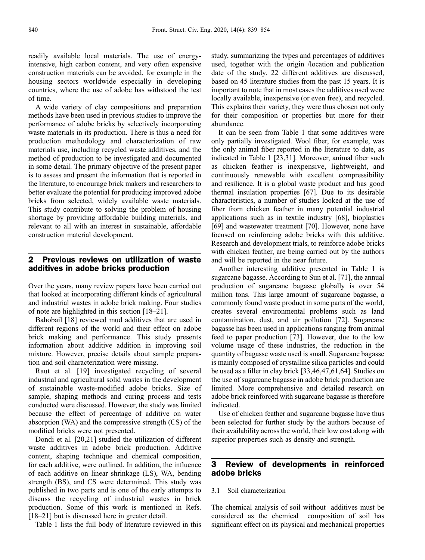readily available local materials. The use of energyintensive, high carbon content, and very often expensive construction materials can be avoided, for example in the housing sectors worldwide especially in developing countries, where the use of adobe has withstood the test of time.

A wide variety of clay compositions and preparation methods have been used in previous studies to improve the performance of adobe bricks by selectively incorporating waste materials in its production. There is thus a need for production methodology and characterization of raw materials use, including recycled waste additives, and the method of production to be investigated and documented in some detail. The primary objective of the present paper is to assess and present the information that is reported in the literature, to encourage brick makers and researchers to better evaluate the potential for producing improved adobe bricks from selected, widely available waste materials. This study contribute to solving the problem of housing shortage by providing affordable building materials, and relevant to all with an interest in sustainable, affordable construction material development.

## 2 Previous reviews on utilization of waste additives in adobe bricks production

Over the years, many review papers have been carried out that looked at incorporating different kinds of agricultural and industrial wastes in adobe brick making. Four studies of note are highlighted in this section [\[18](#page-12-0)–[21\]](#page-12-0).

Bahobail [\[18\]](#page-12-0) reviewed mud additives that are used in different regions of the world and their effect on adobe brick making and performance. This study presents information about additive addition in improving soil mixture. However, precise details about sample preparation and soil characterization were missing.

Raut et al. [\[19](#page-12-0)] investigated recycling of several industrial and agricultural solid wastes in the development of sustainable waste-modified adobe bricks. Size of sample, shaping methods and curing process and tests conducted were discussed. However, the study was limited because the effect of percentage of additive on water absorption (WA) and the compressive strength (CS) of the modified bricks were not presented.

Dondi et al. [[20](#page-12-0),[21](#page-12-0)] studied the utilization of different waste additives in adobe brick production. Additive content, shaping technique and chemical composition, for each additive, were outlined. In addition, the influence of each additive on linear shrinkage (LS), WA, bending strength (BS), and CS were determined. This study was published in two parts and is one of the early attempts to discuss the recycling of industrial wastes in brick production. Some of this work is mentioned in Refs. [\[18](#page-12-0)–[21](#page-12-0)] but is discussed here in greater detail.

Table 1 lists the full body of literature reviewed in this

study, summarizing the types and percentages of additives used, together with the origin /location and publication date of the study. 22 different additives are discussed, based on 45 literature studies from the past 15 years. It is important to note that in most cases the additives used were locally available, inexpensive (or even free), and recycled. This explains their variety, they were thus chosen not only for their composition or properties but more for their abundance.

It can be seen from Table 1 that some additives were only partially investigated. Wool fiber, for example, was the only animal fiber reported in the literature to date, as indicated in Table 1 [[23](#page-12-0),[31](#page-12-0)]. Moreover, animal fiber such as chicken feather is inexpensive, lightweight, and continuously renewable with excellent compressibility and resilience. It is a global waste product and has good thermal insulation properties [[67](#page-13-0)]. Due to its desirable characteristics, a number of studies looked at the use of fiber from chicken feather in many potential industrial applications such as in textile industry [\[68\]](#page-13-0), bioplastics [[69](#page-13-0)] and wastewater treatment [\[70\]](#page-14-0). However, none have focused on reinforcing adobe bricks with this additive. Research and development trials, to reinforce adobe bricks with chicken feather, are being carried out by the authors and will be reported in the near future.

Another interesting additive presented in Table 1 is sugarcane bagasse. According to Sun et al. [\[71\]](#page-14-0), the annual production of sugarcane bagasse globally is over 54 million tons. This large amount of sugarcane bagasse, a commonly found waste product in some parts of the world, creates several environmental problems such as land contamination, dust, and air pollution [\[72\]](#page-14-0). Sugarcane bagasse has been used in applications ranging from animal feed to paper production [[73](#page-14-0)]. However, due to the low volume usage of these industries, the reduction in the quantity of bagasse waste used is small. Sugarcane bagasse is mainly composed of crystalline silica particles and could be used as a filler in clay brick [[33](#page-12-0),[46](#page-13-0),[47](#page-13-0),[61](#page-13-0),[64](#page-13-0)]. Studies on the use of sugarcane bagasse in adobe brick production are limited. More comprehensive and detailed research on adobe brick reinforced with sugarcane bagasse is therefore indicated.

Use of chicken feather and sugarcane bagasse have thus been selected for further study by the authors because of their availability across the world, their low cost along with superior properties such as density and strength.

## 3 Review of developments in reinforced adobe bricks

#### 3.1 Soil characterization

The chemical analysis of soil without additives must be considered as the chemical composition of soil has significant effect on its physical and mechanical properties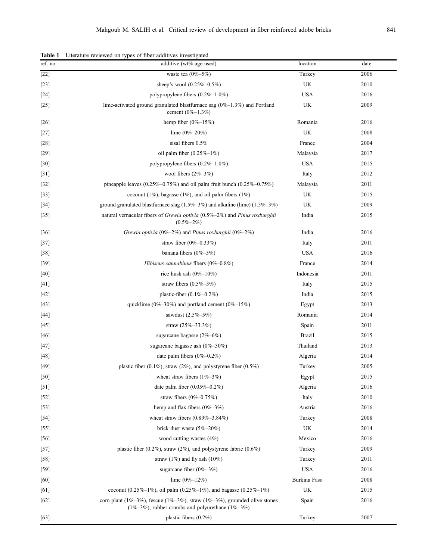| ref. no. | Encludio Teviewed on types of floor additives investigated<br>additive (wt% age used)                                                    | location      | date |
|----------|------------------------------------------------------------------------------------------------------------------------------------------|---------------|------|
| $[22]$   | waste tea $(0\% - 5\%)$                                                                                                                  | Turkey        | 2006 |
| $[23]$   | sheep's wool $(0.25\% - 0.5\%)$                                                                                                          | UK            | 2010 |
| $[24]$   | polypropylene fibers $(0.2\% - 1.0\%)$                                                                                                   | <b>USA</b>    | 2016 |
| $[25]$   | lime-activated ground granulated blastfurnace sag $(0\% - 1.3\%)$ and Portland<br>cement $(0\% - 1.3\%)$                                 | UK            | 2009 |
| $[26]$   | hemp fiber $(0\% - 15\%)$                                                                                                                | Romania       | 2016 |
| $[27]$   | lime $(0\% - 20\%)$                                                                                                                      | UK            | 2008 |
| $[28]$   | sisal fibers 0.5%                                                                                                                        | France        | 2004 |
| $[29]$   | oil palm fiber $(0.25\% - 1\%)$                                                                                                          | Malaysia      | 2017 |
| $[30]$   | polypropylene fibers $(0.2\% - 1.0\%)$                                                                                                   | <b>USA</b>    | 2015 |
| $[31]$   | wool fibers $(2\% - 3\%)$                                                                                                                | Italy         | 2012 |
| $[32]$   | pineapple leaves $(0.25\% - 0.75\%)$ and oil palm fruit bunch $(0.25\% - 0.75\%)$                                                        | Malaysia      | 2011 |
| $[33]$   | coconut (1%), bagasse (1%), and oil palm fibers (1%)                                                                                     | UK            | 2015 |
| $[34]$   | ground granulated blastfurnace slag (1.5%-3%) and alkaline (lime) (1.5%-3%)                                                              | UK            | 2009 |
| $[35]$   | natural vernacular fibers of Grewia optivia $(0.5\% - 2\%)$ and Pinus roxburghii<br>$(0.5\% - 2\%)$                                      | India         | 2015 |
| $[36]$   | Grewia optivia (0%-2%) and Pinus roxburghii (0%-2%)                                                                                      | India         | 2016 |
| $[37]$   | straw fiber $(0\% - 0.33\%)$                                                                                                             | Italy         | 2011 |
| $[38]$   | banana fibers (0%-5%)                                                                                                                    | <b>USA</b>    | 2016 |
| $[39]$   | Hibiscus cannabinus fibers (0%-0.8%)                                                                                                     | France        | 2014 |
| $[40]$   | rice husk ash $(0\% - 10\%)$                                                                                                             | Indonesia     | 2011 |
| $[41]$   | straw fibers $(0.5\% - 3\%)$                                                                                                             | Italy         | 2015 |
| $[42]$   | plastic-fiber $(0.1\% - 0.2\%)$                                                                                                          | India         | 2015 |
| $[43]$   | quicklime (0%-30%) and portland cement (0%-15%)                                                                                          | Egypt         | 2013 |
| $[44]$   | sawdust (2.5%-5%)                                                                                                                        | Romania       | 2014 |
| $[45]$   | straw $(25\% - 33.3\%)$                                                                                                                  | Spain         | 2011 |
| $[46]$   | sugarcane bagasse $(2\% - 6\%)$                                                                                                          | <b>Brazil</b> | 2015 |
| $[47]$   | sugarcane bagasse ash (0%-50%)                                                                                                           | Thailand      | 2013 |
| $[48]$   | date palm fibers $(0\% - 0.2\%)$                                                                                                         | Algeria       | 2014 |
| $[49]$   | plastic fiber (0.1%), straw (2%), and polystyrene fiber (0.5%)                                                                           | Turkey        | 2005 |
| $[50]$   | wheat straw fibers $(1\% - 3\%)$                                                                                                         | Egypt         | 2015 |
| $[51]$   | date palm fiber $(0.05\% - 0.2\%)$                                                                                                       | Algeria       | 2016 |
| $[52]$   | straw fibers $(0\% - 0.75\%)$                                                                                                            | Italy         | 2010 |
| $[53]$   | hemp and flax fibers $(0\% - 3\%)$                                                                                                       | Austria       | 2016 |
| $[54]$   | wheat straw fibers $(0.89\% - 3.84\%)$                                                                                                   | Turkey        | 2008 |
| $[55]$   | brick dust waste $(5\% - 20\%)$                                                                                                          | UK            | 2014 |
| [56]     | wood cutting wastes $(4%)$                                                                                                               | Mexico        | 2016 |
| $[57]$   | plastic fiber (0.2%), straw (2%), and polystyrene fabric (0.6%)                                                                          | Turkey        | 2009 |
| $[58]$   | straw $(1\%)$ and fly ash $(10\%)$                                                                                                       | Turkey        | 2011 |
| $[59]$   | sugarcane fiber $(0\% - 3\%)$                                                                                                            | <b>USA</b>    | 2016 |
| [60]     | lime $(0\% - 12\%)$                                                                                                                      | Burkina Faso  | 2008 |
| [61]     | coconut (0.25%-1%), oil palm (0.25%-1%), and bagasse (0.25%-1%)                                                                          | UK            | 2015 |
| $[62]$   | corn plant (1%-3%), fescue (1%-3%), straw (1%-3%), grounded olive stones<br>$(1\% - 3\%)$ , rubber crumbs and polyurethane $(1\% - 3\%)$ | Spain         | 2016 |
| $[63]$   | plastic fibers $(0.2\%)$                                                                                                                 | Turkey        | 2007 |

Table 1 Literature reviewed on types of fiber additives investigated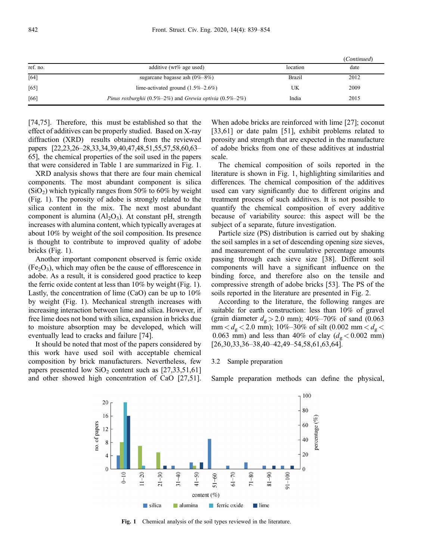|          |                                                         |               | (Continued) |
|----------|---------------------------------------------------------|---------------|-------------|
| ref. no. | additive ( $wt\%$ age used)                             | location      | date        |
| [64]     | sugarcane bagasse ash $(0\% - 8\%)$                     | <b>Brazil</b> | 2012        |
| [65]     | lime-activated ground $(1.5\% - 2.6\%)$                 | UK            | 2009        |
| [66]     | Pinus roxburghii (0.5%-2%) and Grewia optivia (0.5%-2%) | India         | 2015        |

[\[74,75\]](#page-14-0). Therefore, this must be established so that the effect of additives can be properly studied. Based on X-ray diffraction (XRD) results obtained from the reviewed papers [[22,23](#page-12-0),[26](#page-12-0)–[28](#page-12-0),[33,34](#page-12-0),[39,40](#page-13-0),[47,48,51,55,57](#page-13-0),[58,60](#page-13-0),[63](#page-13-0)– [65\]](#page-13-0), the chemical properties of the soil used in the papers that were considered in Table 1 are summarized in Fig. 1.

XRD analysis shows that there are four main chemical components. The most abundant component is silica  $(SiO<sub>2</sub>)$  which typically ranges from 50% to 60% by weight (Fig. 1). The porosity of adobe is strongly related to the silica content in the mix. The next most abundant component is alumina  $(A<sub>1</sub>, O<sub>3</sub>)$ . At constant pH, strength increases with alumina content, which typically averages at about 10% by weight of the soil composition. Its presence is thought to contribute to improved quality of adobe bricks (Fig. 1).

Another important component observed is ferric oxide  $(Fe<sub>2</sub>O<sub>3</sub>)$ , which may often be the cause of efflorescence in adobe. As a result, it is considered good practice to keep the ferric oxide content at less than 10% by weight (Fig. 1). Lastly, the concentration of lime (CaO) can be up to 10% by weight (Fig. 1). Mechanical strength increases with increasing interaction between lime and silica. However, if free lime does not bond with silica, expansion in bricks due to moisture absorption may be developed, which will eventually lead to cracks and failure [\[74\]](#page-14-0).

It should be noted that most of the papers considered by this work have used soil with acceptable chemical composition by brick manufacturers. Nevertheless, few papers presented low  $SiO<sub>2</sub>$  content such as [[27,33,](#page-12-0)[51,61\]](#page-13-0) and other showed high concentration of CaO [[27,](#page-12-0)[51](#page-13-0)].

When adobe bricks are reinforced with lime [\[27\]](#page-12-0); coconut [[33](#page-12-0),[61](#page-13-0)] or date palm [[51](#page-13-0)], exhibit problems related to porosity and strength that are expected in the manufacture of adobe bricks from one of these additives at industrial scale.

The chemical composition of soils reported in the literature is shown in Fig. 1, highlighting similarities and differences. The chemical composition of the additives used can vary significantly due to different origins and treatment process of such additives. It is not possible to quantify the chemical composition of every additive because of variability source: this aspect will be the subject of a separate, future investigation.

Particle size (PS) distribution is carried out by shaking the soil samples in a set of descending opening size sieves, and measurement of the cumulative percentage amounts passing through each sieve size [[38\]](#page-13-0). Different soil components will have a significant influence on the binding force, and therefore also on the tensile and compressive strength of adobe bricks [[53](#page-13-0)]. The PS of the soils reported in the literature are presented in Fig. 2.

According to the literature, the following ranges are suitable for earth construction: less than 10% of gravel (grain diameter  $d_g > 2.0$  mm); 40%–70% of sand (0.063)  $\text{mm} < d_{\text{g}} < 2.0$  mm); 10%–30% of silt (0.002 mm  $< d_{\text{g}} <$ 0.063 mm) and less than 40% of clay  $(d_g < 0.002$  mm) [[26](#page-12-0),[30](#page-12-0),[33](#page-12-0),[36](#page-12-0)–[38,40](#page-13-0)–[42,49](#page-13-0)–[54,58,61,63,64\]](#page-13-0).

#### 3.2 Sample preparation

Sample preparation methods can define the physical,



Fig. 1 Chemical analysis of the soil types reviewed in the literature.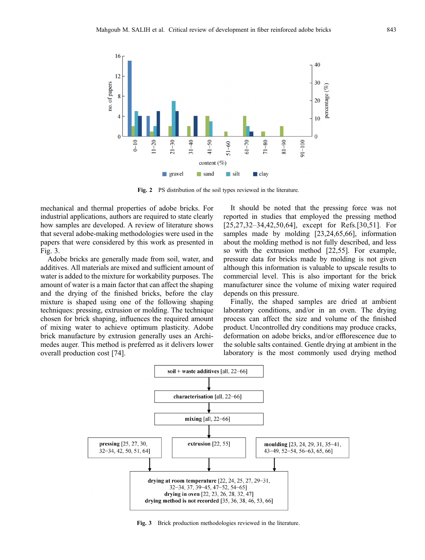

Fig. 2 PS distribution of the soil types reviewed in the literature.

mechanical and thermal properties of adobe bricks. For industrial applications, authors are required to state clearly how samples are developed. A review of literature shows that several adobe-making methodologies were used in the papers that were considered by this work as presented in Fig. 3.

Adobe bricks are generally made from soil, water, and additives. All materials are mixed and sufficient amount of water is added to the mixture for workability purposes. The amount of water is a main factor that can affect the shaping and the drying of the finished bricks, before the clay mixture is shaped using one of the following shaping techniques: pressing, extrusion or molding. The technique chosen for brick shaping, influences the required amount of mixing water to achieve optimum plasticity. Adobe brick manufacture by extrusion generally uses an Archimedes auger. This method is preferred as it delivers lower overall production cost [[74](#page-14-0)].

It should be noted that the pressing force was not reported in studies that employed the pressing method [[25,27,32](#page-12-0)–[34](#page-12-0)[,42,50,64](#page-13-0)], except for Refs.[[30](#page-12-0)[,51\]](#page-13-0). For samples made by molding [\[23,24](#page-12-0)[,65,66\]](#page-13-0), information about the molding method is not fully described, and less so with the extrusion method [\[22](#page-12-0)[,55\]](#page-13-0). For example, pressure data for bricks made by molding is not given although this information is valuable to upscale results to commercial level. This is also important for the brick manufacturer since the volume of mixing water required depends on this pressure.

Finally, the shaped samples are dried at ambient laboratory conditions, and/or in an oven. The drying process can affect the size and volume of the finished product. Uncontrolled dry conditions may produce cracks, deformation on adobe bricks, and/or efflorescence due to the soluble salts contained. Gentle drying at ambient in the laboratory is the most commonly used drying method



Fig. 3 Brick production methodologies reviewed in the literature.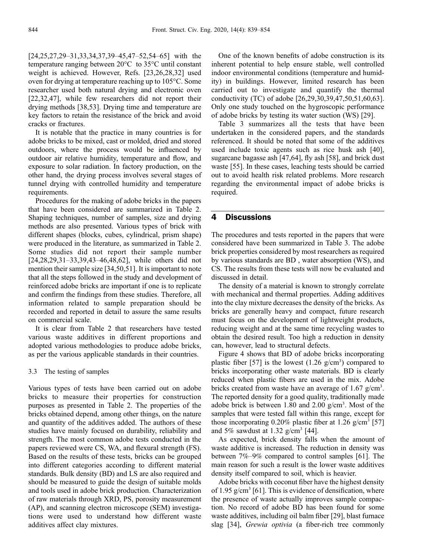[\[24,25,27,29](#page-12-0)–[31,33,34](#page-12-0)[,37,39](#page-13-0)–[45,47](#page-13-0)–[52,54](#page-13-0)–[65](#page-13-0)] with the temperature ranging between 20°C to 35°C until constant weight is achieved. However, Refs. [[23](#page-12-0),[26,28,32](#page-12-0)] used oven for drying at temperature reaching up to 105°C. Some researcher used both natural drying and electronic oven [\[22,32,](#page-12-0)[47\]](#page-13-0), while few researchers did not report their drying methods [[38](#page-13-0),[53](#page-13-0)]. Drying time and temperature are key factors to retain the resistance of the brick and avoid cracks or fractures.

It is notable that the practice in many countries is for adobe bricks to be mixed, cast or molded, dried and stored outdoors, where the process would be influenced by outdoor air relative humidity, temperature and flow, and exposure to solar radiation. In factory production, on the other hand, the drying process involves several stages of tunnel drying with controlled humidity and temperature requirements.

Procedures for the making of adobe bricks in the papers that have been considered are summarized in Table 2. Shaping techniques, number of samples, size and drying methods are also presented. Various types of brick with different shapes (blocks, cubes, cylindrical, prism shape) were produced in the literature, as summarized in Table 2. Some studies did not report their sample number [\[24,28,29,31](#page-12-0)–[33](#page-12-0)[,39,43](#page-13-0)–[46](#page-13-0),[48](#page-13-0),[62](#page-13-0)], while others did not mention their sample size [[34](#page-12-0),[50](#page-13-0),[51](#page-13-0)]. It is important to note that all the steps followed in the study and development of reinforced adobe bricks are important if one is to replicate and confirm the findings from these studies. Therefore, all information related to sample preparation should be recorded and reported in detail to assure the same results on commercial scale.

It is clear from Table 2 that researchers have tested various waste additives in different proportions and adopted various methodologies to produce adobe bricks, as per the various applicable standards in their countries.

#### 3.3 The testing of samples

Various types of tests have been carried out on adobe bricks to measure their properties for construction purposes as presented in Table 2. The properties of the bricks obtained depend, among other things, on the nature and quantity of the additives added. The authors of these studies have mainly focused on durability, reliability and strength. The most common adobe tests conducted in the papers reviewed were CS, WA, and flexural strength (FS). Based on the results of these tests, bricks can be grouped into different categories according to different material standards. Bulk density (BD) and LS are also required and should be measured to guide the design of suitable molds and tools used in adobe brick production. Characterization of raw materials through XRD, PS, porosity measurement (AP), and scanning electron microscope (SEM) investigations were used to understand how different waste additives affect clay mixtures.

One of the known benefits of adobe construction is its inherent potential to help ensure stable, well controlled indoor environmental conditions (temperature and humidity) in buildings. However, limited research has been carried out to investigate and quantify the thermal conductivity (TC) of adobe [[26](#page-12-0),[29](#page-12-0),[30](#page-12-0),[39](#page-13-0),[47](#page-13-0),[50,51,60,63\]](#page-13-0). Only one study touched on the hygroscopic performance of adobe bricks by testing its water suction (WS) [\[29\]](#page-12-0).

Table 3 summarizes all the tests that have been undertaken in the considered papers, and the standards referenced. It should be noted that some of the additives used include toxic agents such as rice husk ash [\[40\]](#page-13-0), sugarcane bagasse ash [[47,64\]](#page-13-0), fly ash [[58](#page-13-0)], and brick dust waste [[55](#page-13-0)]. In these cases, leaching tests should be carried out to avoid health risk related problems. More research regarding the environmental impact of adobe bricks is required.

### 4 Discussions

The procedures and tests reported in the papers that were considered have been summarized in Table 3. The adobe brick properties considered by most researchers as required by various standards are BD , water absorption (WS), and CS. The results from these tests will now be evaluated and discussed in detail.

The density of a material is known to strongly correlate with mechanical and thermal properties. Adding additives into the clay mixture decreases the density of the bricks. As bricks are generally heavy and compact, future research must focus on the development of lightweight products, reducing weight and at the same time recycling wastes to obtain the desired result. Too high a reduction in density can, however, lead to structural defects.

Figure 4 shows that BD of adobe bricks incorporating plastic fiber [\[57\]](#page-13-0) is the lowest  $(1.26 \text{ g/cm}^3)$  compared to bricks incorporating other waste materials. BD is clearly reduced when plastic fibers are used in the mix. Adobe bricks created from waste have an average of  $1.67$  g/cm<sup>3</sup>. The reported density for a good quality, traditionally made adobe brick is between 1.80 and 2.00 g/cm<sup>3</sup>. Most of the samples that were tested fall within this range, except for those incorporating 0.20% plastic fiber at 1.26 g/cm<sup>3</sup> [[57](#page-13-0)] and 5% sawdust at 1.32  $g/cm^3$  [\[44\]](#page-13-0).

As expected, brick density falls when the amount of waste additive is increased. The reduction in density was between 7%–9% compared to control samples [\[61\]](#page-13-0). The main reason for such a result is the lower waste additives density itself compared to soil, which is heavier.

Adobe bricks with coconut fiber have the highest density of 1.95 g/cm<sup>3</sup> [\[61\]](#page-13-0). This is evidence of densification, where the presence of waste actually improves sample compaction. No record of adobe BD has been found for some waste additives, including oil balm fiber [[29](#page-12-0)], blast furnace slag [\[34\]](#page-12-0), Grewia optivia (a fiber-rich tree commonly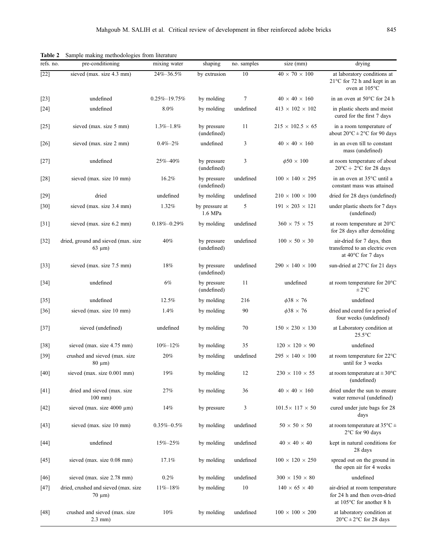| refs. no.         | pre-conditioning                                     | mixing water       | shaping                    | no. samples | size (mm)                    | drying                                                                                           |
|-------------------|------------------------------------------------------|--------------------|----------------------------|-------------|------------------------------|--------------------------------------------------------------------------------------------------|
| $\overline{[22]}$ | sieved (max. size 4.3 mm)                            | 24%-36.5%          | by extrusion               | 10          | $40 \times 70 \times 100$    | at laboratory conditions at<br>$21^{\circ}$ C for 72 h and kept in an<br>oven at $105^{\circ}$ C |
| $[23]$            | undefined                                            | $0.25\% - 19.75\%$ | by molding                 | 7           | $40 \times 40 \times 160$    | in an oven at 50°C for 24 h                                                                      |
| $[24]$            | undefined                                            | 8.0%               | by molding                 | undefined   | $413 \times 102 \times 102$  | in plastic sheets and moist<br>cured for the first 7 days                                        |
| $[25]$            | sieved (max. size 5 mm)                              | $1.3\% - 1.8\%$    | by pressure<br>(undefined) | 11          | $215 \times 102.5 \times 65$ | in a room temperature of<br>about $20^{\circ}$ C $\pm$ 2°C for 90 days                           |
| $[26]$            | sieved (max. size 2 mm)                              | $0.4\% - 2\%$      | undefined                  | 3           | $40 \times 40 \times 160$    | in an oven till to constant<br>mass (undefined)                                                  |
| $[27]$            | undefined                                            | 25%-40%            | by pressure<br>(undefined) | 3           | $\phi$ 50 $\times$ 100       | at room temperature of about<br>$20^{\circ}$ C + 2°C for 28 days                                 |
| $[28]$            | sieved (max. size 10 mm)                             | 16.2%              | by pressure<br>(undefined) | undefined   | $100 \times 140 \times 295$  | in an oven at 35°C until a<br>constant mass was attained                                         |
| $[29]$            | dried                                                | undefined          | by molding                 | undefined   | $210 \times 100 \times 100$  | dried for 28 days (undefined)                                                                    |
| $[30]$            | sieved (max. size 3.4 mm)                            | 1.32%              | by pressure at<br>1.6 MPa  | 5           | $191 \times 203 \times 121$  | under plastic sheets for 7 days<br>(undefined)                                                   |
| $[31]$            | sieved (max. size 6.2 mm)                            | $0.18\% - 0.29\%$  | by molding                 | undefined   | $360 \times 75 \times 75$    | at room temperature at 20°C<br>for 28 days after demolding                                       |
| $[32]$            | dried, ground and sieved (max. size<br>$63 \mu m$ )  | 40%                | by pressure<br>(undefined) | undefined   | $100 \times 50 \times 30$    | air-dried for 7 days, then<br>transferred to an electric oven<br>at $40^{\circ}$ C for 7 days    |
| $[33]$            | sieved (max. size 7.5 mm)                            | 18%                | by pressure<br>(undefined) | undefined   | $290 \times 140 \times 100$  | sun-dried at 27°C for 21 days                                                                    |
| $[34]$            | undefined                                            | 6%                 | by pressure<br>(undefined) | 11          | undefined                    | at room temperature for 20°C<br>$\pm 2^{\circ}$ C                                                |
| $[35]$            | undefined                                            | 12.5%              | by molding                 | 216         | $\phi$ 38 $\times$ 76        | undefined                                                                                        |
| $[36]$            | sieved (max. size 10 mm)                             | 1.4%               | by molding                 | 90          | $\phi$ 38 $\times$ 76        | dried and cured for a period of<br>four weeks (undefined)                                        |
| $[37]$            | sieved (undefined)                                   | undefined          | by molding                 | 70          | $150 \times 230 \times 130$  | at Laboratory condition at<br>$25.5$ °C                                                          |
| $[38]$            | sieved (max. size 4.75 mm)                           | $10\% - 12\%$      | by molding                 | 35          | $120 \times 120 \times 90$   | undefined                                                                                        |
| $[39]$            | crushed and sieved (max. size<br>$80 \mu m$ )        | 20%                | by molding                 | undefined   | $295 \times 140 \times 100$  | at room temperature for 22°C<br>until for 3 weeks                                                |
| $[40]$            | sieved (max. size 0.001 mm)                          | 19%                | by molding                 | 12          | $230 \times 110 \times 55$   | at room temperature at $\pm$ 30 $^{\circ}$ C<br>(undefined)                                      |
| $[41]$            | dried and sieved (max. size<br>$100$ mm $)$          | 27%                | by molding                 | 36          | $40 \times 40 \times 160$    | dried under the sun to ensure<br>water removal (undefined)                                       |
| $[42]$            | sieved (max. size $4000 \mu m$ )                     | 14%                | by pressure                | 3           | $101.5 \times 117 \times 50$ | cured under jute bags for 28<br>days                                                             |
| $[43]$            | sieved (max. size 10 mm)                             | $0.35\% - 0.5\%$   | by molding                 | undefined   | $50 \times 50 \times 50$     | at room temperature at $35^{\circ}$ C ±<br>2°C for 90 days                                       |
| $[44]$            | undefined                                            | $15\% - 25\%$      | by molding                 | undefined   | $40 \times 40 \times 40$     | kept in natural conditions for<br>28 days                                                        |
| $[45]$            | sieved (max. size 0.08 mm)                           | 17.1%              | by molding                 | undefined   | $100 \times 120 \times 250$  | spread out on the ground in<br>the open air for 4 weeks                                          |
| $[46]$            | sieved (max. size 2.78 mm)                           | 0.2%               | by molding                 | undefined   | $300 \times 150 \times 80$   | undefined                                                                                        |
| $[47]$            | dried, crushed and sieved (max. size<br>$70 \mu m$ ) | $11\% - 18\%$      | by molding                 | 10          | $140 \times 65 \times 40$    | air-dried at room temperature<br>for 24 h and then oven-dried<br>at 105°C for another 8 h        |
| [48]              | crushed and sieved (max. size<br>$2.3$ mm $)$        | 10%                | by molding                 | undefined   | $100 \times 100 \times 200$  | at laboratory condition at<br>$20^{\circ}$ C $\pm$ 2°C for 28 days                               |

Table 2 Sample making methodologies from literature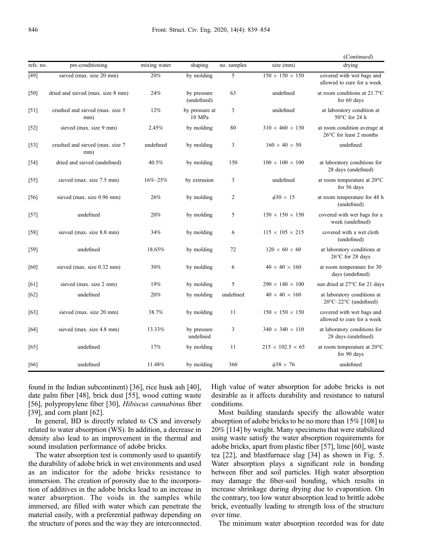|           |                                         |               |                            |                |                              | (Continued)                                                               |
|-----------|-----------------------------------------|---------------|----------------------------|----------------|------------------------------|---------------------------------------------------------------------------|
| refs. no. | pre-conditioning                        | mixing water  | shaping                    | no. samples    | size (mm)                    | drying                                                                    |
| $[49]$    | sieved (max. size 20 mm)                | 20%           | by molding                 | 5              | $150 \times 150 \times 150$  | covered with wet bags and<br>allowed to cure for a week                   |
| $[50]$    | dried and sieved (max. size 8 mm)       | 24%           | by pressure<br>(undefined) | 63             | undefined                    | at room conditions at $21.7^{\circ}$ C<br>for 60 days                     |
| $[51]$    | crushed and sieved (max. size 5)<br>mm) | 12%           | by pressure at<br>10 MPa   | 3              | undefined                    | at laboratory condition at<br>50°C for 24 h                               |
| $[52]$    | sieved (max. size 9 mm)                 | 2.45%         | by molding                 | 80             | $310 \times 460 \times 130$  | at room condition average at<br>26°C for least 2 months                   |
| $[53]$    | crushed and sieved (max. size 7<br>mm)  | undefined     | by molding                 | 3              | $160 \times 40 \times 50$    | undefined                                                                 |
| $[54]$    | dried and sieved (undefined)            | 40.5%         | by molding                 | 150            | $100 \times 100 \times 100$  | at laboratory conditions for<br>28 days (undefined)                       |
| [55]      | sieved (max. size 7.5 mm)               | $16\% - 25\%$ | by extrusion               | 3              | undefined                    | at room temperature at 20°C<br>for 56 days                                |
| [56]      | sieved (max. size 0.96 mm)              | 26%           | by molding                 | $\overline{c}$ | $\phi$ 30 $\times$ 15        | at room temperature for 48 h<br>(undefined)                               |
| $[57]$    | undefined                               | 20%           | by molding                 | 5              | $150 \times 150 \times 150$  | covered with wet bags for a<br>week (undefined)                           |
| [58]      | sieved (max. size 8.8 mm)               | 34%           | by molding                 | 6              | $115 \times 105 \times 215$  | covered with a wet cloth<br>(undefined)                                   |
| $[59]$    | undefined                               | 18.65%        | by molding                 | 72             | $120 \times 60 \times 60$    | at laboratory conditions at<br>26°C for 28 days                           |
| [60]      | sieved (max. size 0.32 mm)              | 30%           | by molding                 | 6              | $40 \times 40 \times 160$    | at room temperature for 30<br>days (undefined)                            |
| [61]      | sieved (max. size 2 mm)                 | 19%           | by molding                 | 5              | $290 \times 140 \times 100$  | sun dried at 27°C for 21 days                                             |
| [62]      | undefined                               | 20%           | by molding                 | undefined      | $40 \times 40 \times 160$    | at laboratory conditions at<br>$20^{\circ}$ C $-22^{\circ}$ C (undefined) |
| [63]      | sieved (max. size 20 mm)                | 38.7%         | by molding                 | 11             | $150 \times 150 \times 150$  | covered with wet bags and<br>allowed to cure for a week                   |
| [64]      | sieved (max. size 4.8 mm)               | 13.33%        | by pressure<br>undefined   | 3              | $340 \times 340 \times 110$  | at laboratory conditions for<br>28 days (undefined)                       |
| [65]      | undefined                               | 17%           | by molding                 | 11             | $215 \times 102.5 \times 65$ | at room temperature at 20°C<br>for 90 days                                |
| [66]      | undefined                               | 11.48%        | by molding                 | 360            | $\phi$ 38 $\times$ 76        | undefined                                                                 |

found in the Indian subcontinent) [\[36\]](#page-12-0), rice husk ash [[40](#page-13-0)], date palm fiber [[48\]](#page-13-0), brick dust [[55\]](#page-13-0), wood cutting waste [\[56\]](#page-13-0), polypropylene fiber [\[30\]](#page-12-0), Hibiscus cannabinus fiber [\[39\]](#page-13-0), and corn plant [[62\]](#page-13-0).

In general, BD is directly related to CS and inversely related to water absorption (WS). In addition, a decrease in density also lead to an improvement in the thermal and sound insulation performance of adobe bricks.

The water absorption test is commonly used to quantify the durability of adobe brick in wet environments and used as an indicator for the adobe bricks resistance to immersion. The creation of porosity due to the incorporation of additives in the adobe bricks lead to an increase in water absorption. The voids in the samples while immersed, are filled with water which can penetrate the material easily, with a preferential pathway depending on the structure of pores and the way they are interconnected. High value of water absorption for adobe bricks is not desirable as it affects durability and resistance to natural conditions.

Most building standards specify the allowable water absorption of adobe bricks to be no more than 15% [\[108](#page-15-0)] to 20% [[114](#page-15-0)] by weight. Many specimens that were stabilized using waste satisfy the water absorption requirements for adobe bricks, apart from plastic fiber [\[57\]](#page-13-0), lime [\[60\]](#page-13-0), waste tea [[22](#page-12-0)], and blastfurnace slag [[34](#page-12-0)] as shown in Fig. 5. Water absorption plays a significant role in bonding between fiber and soil particles. High water absorption may damage the fiber-soil bonding, which results in increase shrinkage during drying due to evaporation. On the contrary, too low water absorption lead to brittle adobe brick, eventually leading to strength loss of the structure over time.

The minimum water absorption recorded was for date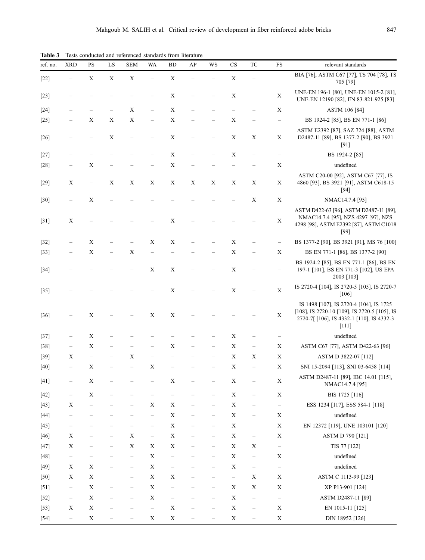| ref. no. | <b>XRD</b>               | PS          | ${\rm LS}$        | <b>SEM</b>        | <b>WA</b>                | <b>BD</b>                         | AP | WS                       | $_{\rm CS}$              | TC                                | FS                       | relevant standards                                                                                                                             |
|----------|--------------------------|-------------|-------------------|-------------------|--------------------------|-----------------------------------|----|--------------------------|--------------------------|-----------------------------------|--------------------------|------------------------------------------------------------------------------------------------------------------------------------------------|
| $[22]$   |                          | $\mathbf X$ | $\mathbf X$       | $\mathbf X$       |                          | $\mathbf X$                       |    |                          | X                        |                                   |                          | BIA [76], ASTM C67 [77], TS 704 [78], TS<br>705 [79]                                                                                           |
| $[23]$   |                          |             |                   |                   |                          | $\mathbf X$                       |    |                          | X                        |                                   | $\mathbf X$              | UNE-EN 196-1 [80], UNE-EN 1015-2 [81],<br>UNE-EN 12190 [82], EN 83-821-925 [83]                                                                |
| $[24]$   |                          |             |                   | X                 |                          | $\mathbf X$                       |    |                          |                          |                                   | $\mathbf X$              | ASTM 106 [84]                                                                                                                                  |
| $[25]$   |                          | X           | $\mathbf X$       | $\mathbf X$       |                          | $\mathbf X$                       |    |                          | X                        |                                   | $\qquad \qquad -$        | BS 1924-2 [85], BS EN 771-1 [86]                                                                                                               |
| $[26]$   |                          |             | $\mathbf X$       |                   |                          | $\mathbf X$                       |    |                          | $\mathbf X$              | $\mathbf X$                       | Χ                        | ASTM E2392 [87], SAZ 724 [88], ASTM<br>D2487-11 [89], BS 1377-2 [90], BS 3921<br>[91]                                                          |
| $[27]$   |                          |             |                   |                   |                          | $\mathbf X$                       |    |                          | X                        | $\overline{\phantom{0}}$          |                          | BS 1924-2 [85]                                                                                                                                 |
| $[28]$   |                          | Χ           |                   |                   |                          | $\mathbf X$                       |    |                          |                          |                                   | $\mathbf X$              | undefined                                                                                                                                      |
| $[29]$   | X                        |             | Χ                 | X                 | $\mathbf X$              | $\mathbf X$                       | Χ  | X                        | X                        | X                                 | $\mathbf X$              | ASTM C20-00 [92], ASTM C67 [77], IS<br>4860 [93], BS 3921 [91], ASTM C618-15<br>[94]                                                           |
| $[30]$   |                          | X           |                   |                   |                          |                                   |    |                          |                          | $\mathbf X$                       | $\mathbf X$              | NMAC14.7.4 [95]                                                                                                                                |
| $[31]$   | X                        |             |                   |                   |                          | $\mathbf X$                       |    |                          |                          |                                   | $\mathbf X$              | ASTM D422-63 [96], ASTM D2487-11 [89],<br>NMAC14.7.4 [95], NZS 4297 [97], NZS<br>4298 [98], ASTM E2392 [87], ASTM C1018<br>[99]                |
| $[32]$   |                          | X           |                   |                   | X                        | X                                 |    |                          | $\mathbf X$              |                                   | $\hspace{1.0cm} -$       | BS 1377-2 [90], BS 3921 [91], MS 76 [100]                                                                                                      |
| $[33]$   |                          | $\mathbf X$ |                   | $\mathbf X$       |                          |                                   |    |                          | $\mathbf X$              |                                   | $\mathbf X$              | BS EN 771-1 [86], BS 1377-2 [90]                                                                                                               |
| $[34]$   |                          |             |                   |                   | $\mathbf X$              | $\mathbf X$                       |    |                          | X                        |                                   | $\overline{\phantom{0}}$ | BS 1924-2 [85], BS EN 771-1 [86], BS EN<br>197-1 [101], BS EN 771-3 [102], US EPA<br>2003 [103]                                                |
| $[35]$   |                          |             |                   |                   |                          | $\mathbf X$                       |    |                          | $\mathbf X$              |                                   | $\mathbf X$              | IS 2720-4 [104], IS 2720-5 [105], IS 2720-7<br>$[106]$                                                                                         |
| $[36]$   |                          | Χ           |                   |                   | $\mathbf X$              | $\mathbf X$                       |    |                          |                          |                                   | $\mathbf X$              | IS 1498 [107], IS 2720-4 [104], IS 1725<br>[108], IS 2720-10 [109], IS 2720-5 [105], IS<br>2720-7[[106], IS 4332-1 [110], IS 4332-3<br>$[111]$ |
| $[37]$   |                          | X           |                   |                   |                          |                                   |    |                          | X                        |                                   |                          | undefined                                                                                                                                      |
| $[38]$   |                          | X           |                   |                   |                          | $\mathbf X$                       |    |                          | $\mathbf X$              | $\overline{\phantom{0}}$          | Χ                        | ASTM C67 [77], ASTM D422-63 [96]                                                                                                               |
| $[39]$   | X                        |             |                   | X                 |                          |                                   |    |                          | $\mathbf X$              | $\mathbf X$                       | $\mathbf X$              | ASTM D 3822-07 [112]                                                                                                                           |
| $[40]$   |                          | X           |                   |                   | $\mathbf X$              |                                   |    |                          | $\mathbf X$              |                                   | $\mathbf X$              | SNI 15-2094 [113], SNI 03-6458 [114]                                                                                                           |
| $[41]$   |                          | $\mathbf X$ |                   |                   |                          | $\mathbf X$                       |    |                          | $\mathbf X$              |                                   | X                        | ASTM D2487-11 [89], IBC 14.01 [115],<br>NMAC14.7.4 [95]                                                                                        |
| $[42]$   | -                        | $\mathbf X$ |                   |                   |                          | $\overline{\phantom{0}}$          |    | $\qquad \qquad -$        | $\mathbf X$              |                                   | $\mathbf X$              | BIS 1725 [116]                                                                                                                                 |
| $[43]$   | X                        |             |                   | —                 | $\mathbf X$              | $\mathbf X$                       |    | $\qquad \qquad -$        | $\mathbf X$              |                                   | $\overline{\phantom{0}}$ | ESS 1234 [117], ESS 584-1 [118]                                                                                                                |
| $[44]$   | $\qquad \qquad -$        |             |                   | -                 | $\overline{\phantom{0}}$ | $\mathbf X$                       |    | $\overline{\phantom{m}}$ | $\mathbf X$              | $\overline{\phantom{m}}$          | $\mathbf X$              | undefined                                                                                                                                      |
| $[45]$   |                          |             |                   |                   | $\overline{\phantom{0}}$ | $\mathbf X$                       |    |                          | $\mathbf X$              |                                   | $\mathbf X$              | EN 12372 [119], UNE 103101 [120]                                                                                                               |
| $[46]$   | $\mathbf X$              |             |                   | $\mathbf X$       | -                        | $\mathbf X$                       |    |                          | $\mathbf X$              | $\qquad \qquad -$                 | X                        | ASTM D 790 [121]                                                                                                                               |
| $[47]$   | $\mathbf X$              |             | -                 | $\mathbf X$       | $\mathbf X$              | $\mathbf X$                       |    | $\qquad \qquad -$        | $\mathbf X$              | $\mathbf X$                       | $\overline{\phantom{0}}$ | TIS 77 [122]                                                                                                                                   |
| $[48]$   | $\qquad \qquad -$        |             |                   | $\qquad \qquad -$ | $\mathbf X$              | -                                 |    | -                        | $\mathbf X$              | $\hspace{1.0cm} - \hspace{1.0cm}$ | X                        | undefined                                                                                                                                      |
| $[49]$   | $\mathbf X$              | X           | $\qquad \qquad -$ | $\qquad \qquad -$ | $\mathbf X$              | $\hspace{1.0cm} - \hspace{1.0cm}$ |    |                          | $\mathbf X$              | $\overline{\phantom{a}}$          | $\overline{\phantom{a}}$ | undefined                                                                                                                                      |
| [50]     | X                        | X           |                   | —                 | $\mathbf X$              | $\mathbf X$                       |    |                          | $\overline{\phantom{a}}$ | $\mathbf X$                       | X                        | ASTM C 1113-99 [123]                                                                                                                           |
| $[51]$   | $\overline{\phantom{a}}$ | $\mathbf X$ |                   | -                 | $\mathbf X$              | $\hspace{1.0cm} - \hspace{1.0cm}$ |    |                          | $\mathbf X$              | $\mathbf X$                       | X                        | XP P13-901 [124]                                                                                                                               |
| $[52]$   | $\overline{\phantom{a}}$ | $\mathbf X$ | -                 | $\qquad \qquad -$ | $\mathbf X$              | $\qquad \qquad -$                 |    | $\qquad \qquad -$        | $\mathbf X$              | $\overline{\phantom{a}}$          | $\overline{\phantom{a}}$ | ASTM D2487-11 [89]                                                                                                                             |
| $[53]$   | X                        | $\mathbf X$ |                   |                   | $\overline{\phantom{0}}$ | $\mathbf X$                       |    | $\qquad \qquad -$        | $\mathbf X$              | $\overline{\phantom{a}}$          | $\mathbf X$              | EN 1015-11 [125]                                                                                                                               |
| $[54]$   | $\qquad \qquad -$        | $\mathbf X$ |                   |                   | $\mathbf X$              | $\mathbf X$                       |    |                          | $\mathbf X$              |                                   | $\mathbf X$              | DIN 18952 [126]                                                                                                                                |

Table 3 Tests conducted and referenced standards from literature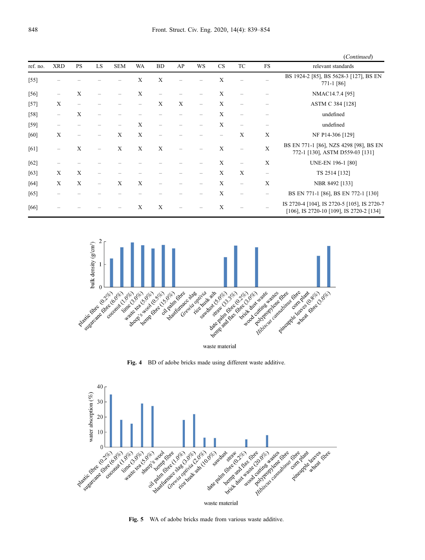|          |            |                          |    |            |              |           |    |                   |             |                   |                   | (Continued)                                                                             |
|----------|------------|--------------------------|----|------------|--------------|-----------|----|-------------------|-------------|-------------------|-------------------|-----------------------------------------------------------------------------------------|
| ref. no. | <b>XRD</b> | <b>PS</b>                | LS | <b>SEM</b> | WA           | <b>BD</b> | AP | WS                | CS          | TC                | <b>FS</b>         | relevant standards                                                                      |
| $[55]$   |            |                          |    |            | $\mathbf{X}$ | X         |    |                   | X           |                   |                   | BS 1924-2 [85], BS 5628-3 [127], BS EN<br>771-1 [86]                                    |
| $[56]$   |            | X                        |    |            | X            |           |    |                   | X           |                   |                   | NMAC14.7.4 [95]                                                                         |
| $[57]$   | X          | $\overline{\phantom{0}}$ |    |            | -            | X         | X  | $\qquad \qquad -$ | X           |                   |                   | ASTM C 384 [128]                                                                        |
| $[58]$   |            | X                        |    |            |              |           |    |                   | X           |                   |                   | undefined                                                                               |
| [59]     |            |                          |    |            | X            |           |    |                   | $\mathbf X$ |                   |                   | undefined                                                                               |
| [60]     | X          |                          |    | X          | X            |           |    |                   |             | X                 | X                 | NF P14-306 [129]                                                                        |
| [61]     |            | X                        |    | X          | X            | X         |    |                   | X           |                   | X                 | BS EN 771-1 [86], NZS 4298 [98], BS EN<br>772-1 [130], ASTM D559-03 [131]               |
| $[62]$   |            |                          |    |            |              |           |    |                   | X           |                   | X                 | UNE-EN 196-1 [80]                                                                       |
| [63]     | X          | $\mathbf X$              |    |            |              |           |    |                   | X           | $\mathbf X$       | $\qquad \qquad -$ | TS 2514 [132]                                                                           |
| [64]     | X          | X                        |    | X          | X            |           |    |                   | X           | $\qquad \qquad -$ | X                 | NBR 8492 [133]                                                                          |
| [65]     |            |                          |    |            |              |           |    |                   | X           |                   | -                 | BS EN 771-1 [86], BS EN 772-1 [130]                                                     |
| [66]     |            |                          |    |            | X            | X         |    |                   | X           |                   |                   | IS 2720-4 [104], IS 2720-5 [105], IS 2720-7<br>[106], IS 2720-10 [109], IS 2720-2 [134] |



Fig. 4 BD of adobe bricks made using different waste additive.



Fig. 5 WA of adobe bricks made from various waste additive.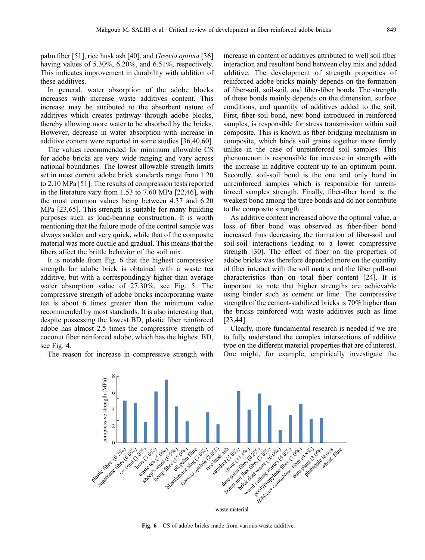palm fiber [\[51\]](#page-13-0), rice husk ash [[40](#page-13-0)], and Grewia optivia [\[36\]](#page-12-0) having values of 5.30%, 6.20%, and 6.51%, respectively. This indicates improvement in durability with addition of these additives.

In general, water absorption of the adobe blocks increases with increase waste additives content. This increase may be attributed to the absorbent nature of additives which creates pathway through adobe blocks, thereby allowing more water to be absorbed by the bricks. However, decrease in water absorption with increase in additive content were reported in some studies [\[36,](#page-12-0)[40,60](#page-13-0)].

The values recommended for minimum allowable CS for adobe bricks are very wide ranging and vary across national boundaries. The lowest allowable strength limits set in most current adobe brick standards range from 1.20 to 2.10 MPa [[51](#page-13-0)]. The results of compression tests reported in the literature vary from 1.53 to 7.60 MPa [\[22,](#page-12-0)[46\]](#page-13-0), with the most common values being between 4.37 and 6.20 MPa [\[23](#page-12-0)[,65\]](#page-13-0). This strength is suitable for many building purposes such as load-bearing construction. It is worth mentioning that the failure mode of the control sample was always sudden and very quick, while that of the composite material was more ductile and gradual. This means that the fibers affect the brittle behavior of the soil mix.

It is notable from Fig. 6 that the highest compressive strength for adobe brick is obtained with a waste tea additive, but with a correspondingly higher than average water absorption value of 27.30%, see Fig. 5. The compressive strength of adobe bricks incorporating waste tea is about 6 times greater than the minimum value recommended by most standards. It is also interesting that, despite possessing the lowest BD, plastic fiber reinforced adobe has almost 2.5 times the compressive strength of coconut fiber reinforced adobe, which has the highest BD, see Fig. 4.

The reason for increase in compressive strength with

increase in content of additives attributed to well soil fiber interaction and resultant bond between clay mix and added additive. The development of strength properties of reinforced adobe bricks mainly depends on the formation of fiber-soil, soil-soil, and fiber-fiber bonds. The strength of these bonds mainly depends on the dimension, surface conditions, and quantity of additives added to the soil. First, fiber-soil bond, new bond introduced in reinforced samples, is responsible for stress transmission within soil composite. This is known as fiber bridging mechanism in composite, which binds soil grains together more firmly unlike in the case of unreinforced soil samples. This phenomenon is responsible for increase in strength with the increase in additive content up to an optimum point. Secondly, soil-soil bond is the one and only bond in unreinforced samples which is responsible for unreinforced samples strength. Finally, fiber-fiber bond is the weakest bond among the three bonds and do not contribute to the composite strength.

As additive content increased above the optimal value, a loss of fiber bond was observed as fiber-fiber bond increased thus decreasing the formation of fiber-soil and soil-soil interactions leading to a lower compressive strength [\[30\]](#page-12-0). The effect of fiber on the properties of adobe bricks was therefore depended more on the quantity of fiber interact with the soil matrix and the fiber pull-out characteristics than on total fiber content [[24](#page-12-0)]. It is important to note that higher strengths are achievable using binder such as cement or lime. The compressive strength of the cement-stabilized bricks is 70% higher than the bricks reinforced with waste additives such as lime [[23](#page-12-0),[44](#page-13-0)].

Clearly, more fundamental research is needed if we are to fully understand the complex intersections of additive type on the different material properties that are of interest. One might, for example, empirically investigate the



Fig. 6 CS of adobe bricks made from various waste additive.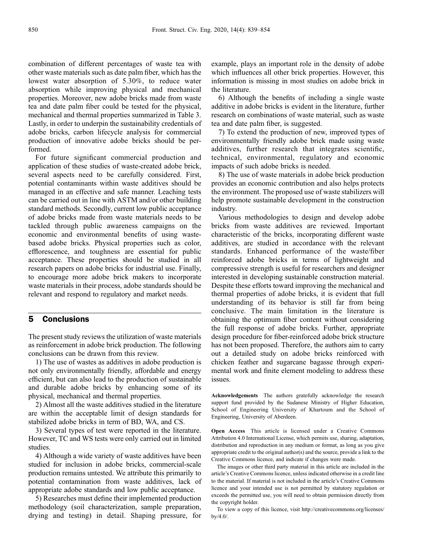combination of different percentages of waste tea with other waste materials such as date palm fiber, which has the lowest water absorption of 5.30%, to reduce water absorption while improving physical and mechanical properties. Moreover, new adobe bricks made from waste tea and date palm fiber could be tested for the physical, mechanical and thermal properties summarized in Table 3. Lastly, in order to underpin the sustainability credentials of adobe bricks, carbon lifecycle analysis for commercial production of innovative adobe bricks should be performed.

For future significant commercial production and application of these studies of waste-created adobe brick, several aspects need to be carefully considered. First, potential contaminants within waste additives should be managed in an effective and safe manner. Leaching tests can be carried out in line with ASTM and/or other building standard methods. Secondly, current low public acceptance of adobe bricks made from waste materials needs to be tackled through public awareness campaigns on the economic and environmental benefits of using wastebased adobe bricks. Physical properties such as color, efflorescence, and toughness are essential for public acceptance. These properties should be studied in all research papers on adobe bricks for industrial use. Finally, to encourage more adobe brick makers to incorporate waste materials in their process, adobe standards should be relevant and respond to regulatory and market needs.

## 5 Conclusions

The present study reviews the utilization of waste materials as reinforcement in adobe brick production. The following conclusions can be drawn from this review.

1) The use of wastes as additives in adobe production is not only environmentally friendly, affordable and energy efficient, but can also lead to the production of sustainable and durable adobe bricks by enhancing some of its physical, mechanical and thermal properties.

2) Almost all the waste additives studied in the literature are within the acceptable limit of design standards for stabilized adobe bricks in term of BD, WA, and CS.

3) Several types of test were reported in the literature. However, TC and WS tests were only carried out in limited studies.

4) Although a wide variety of waste additives have been studied for inclusion in adobe bricks, commercial-scale production remains untested. We attribute this primarily to potential contamination from waste additives, lack of appropriate adobe standards and low public acceptance.

5) Researches must define their implemented production methodology (soil characterization, sample preparation, drying and testing) in detail. Shaping pressure, for

example, plays an important role in the density of adobe which influences all other brick properties. However, this information is missing in most studies on adobe brick in the literature.

6) Although the benefits of including a single waste additive in adobe bricks is evident in the literature, further research on combinations of waste material, such as waste tea and date palm fiber, is suggested.

7) To extend the production of new, improved types of environmentally friendly adobe brick made using waste additives, further research that integrates scientific, technical, environmental, regulatory and economic impacts of such adobe bricks is needed.

8) The use of waste materials in adobe brick production provides an economic contribution and also helps protects the environment. The proposed use of waste stabilizers will help promote sustainable development in the construction industry.

Various methodologies to design and develop adobe bricks from waste additives are reviewed. Important characteristic of the bricks, incorporating different waste additives, are studied in accordance with the relevant standards. Enhanced performance of the waste/fiber reinforced adobe bricks in terms of lightweight and compressive strength is useful for researchers and designer interested in developing sustainable construction material. Despite these efforts toward improving the mechanical and thermal properties of adobe bricks, it is evident that full understanding of its behavior is still far from being conclusive. The main limitation in the literature is obtaining the optimum fiber content without considering the full response of adobe bricks. Further, appropriate design procedure for fiber-reinforced adobe brick structure has not been proposed. Therefore, the authors aim to carry out a detailed study on adobe bricks reinforced with chicken feather and sugarcane bagasse through experimental work and finite element modeling to address these issues.

Acknowledgements The authors gratefully acknowledge the research support fund provided by the Sudanese Ministry of Higher Education, School of Engineering University of Khartoum and the School of Engineering, University of Aberdeen.

Open Access This article is licensed under a Creative Commons Attribution 4.0 International License, which permits use, sharing, adaptation, distribution and reproduction in any medium or format, as long as you give appropriate credit to the original author(s) and the source, provide a link to the Creative Commons licence, and indicate if changes were made.

The images or other third party material in this article are included in the article's Creative Commons licence, unless indicated otherwise in a credit line to the material. If material is not included in the article's Creative Commons licence and your intended use is not permitted by statutory regulation or exceeds the permitted use, you will need to obtain permission directly from the copyright holder.

To view a copy of this licence, visit http://creativecommons.org/licenses/ by/4.0/.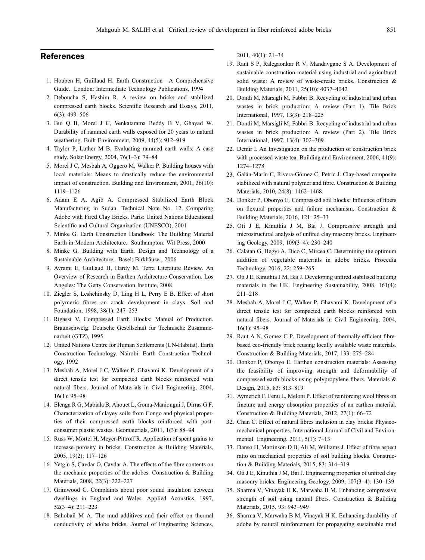# <span id="page-12-0"></span>References

- 1. Houben H, Guillaud H. Earth Construction—A Comprehensive Guide. London: Intermediate Technology Publications, 1994
- 2. Deboucha S, Hashim R. A review on bricks and stabilized compressed earth blocks. Scientific Research and Essays, 2011, 6(3): 499–506
- 3. Bui Q B, Morel J C, Venkatarama Reddy B V, Ghayad W. Durability of rammed earth walls exposed for 20 years to natural weathering. Built Environment, 2009, 44(5): 912–919
- 4. Taylor P, Luther M B. Evaluating rammed earth walls: A case study. Solar Energy, 2004, 76(1–3): 79–84
- 5. Morel J C, Mesbah A, Oggero M, Walker P. Building houses with local materials: Means to drastically reduce the environmental impact of construction. Building and Environment, 2001, 36(10): 1119–1126
- 6. Adam E A, Agib A. Compressed Stabilized Earth Block Manufacturing in Sudan. Technical Note No. 12. Comparing Adobe with Fired Clay Bricks. Paris: United Nations Educational Scientific and Cultural Organization (UNESCO), 2001
- 7. Minke G. Earth Construction Handbook: The Building Material Earth in Modern Architecture. Southampton: Wit Press, 2000
- 8. Minke G. Building with Earth. Design and Technology of a Sustainable Architecture. Basel: Birkhäuser, 2006
- 9. Avrami E, Guillaud H, Hardy M. Terra Literature Review. An Overview of Research in Earthen Architecture Conservation. Los Angeles: The Getty Conservation Institute, 2008
- 10. Ziegler S, Leshchinsky D, Ling H L, Perry E B. Effect of short polymeric fibres on crack development in clays. Soil and Foundation, 1998, 38(1): 247–253
- 11. Rigassi V. Compressed Earth Blocks: Manual of Production. Braunschweig: Deutsche Gesellschaft für Technische Zusammenarbeit (GTZ), 1995
- 12. United Nations Centre for Human Settlements (UN-Habitat). Earth Construction Technology. Nairobi: Earth Construction Technology, 1992
- 13. Mesbah A, Morel J C, Walker P, Ghavami K. Development of a direct tensile test for compacted earth blocks reinforced with natural fibers. Journal of Materials in Civil Engineering, 2004, 16(1): 95–98
- 14. Elenga R G, Mabiala B, Ahouet L, Goma-Maniongui J, Dirras G F. Characterization of clayey soils from Congo and physical properties of their compressed earth blocks reinforced with postconsumer plastic wastes. Geomaterials, 2011, 1(3): 88–94
- 15. Russ W, Mörtel H, Meyer-Pittroff R. Application of spent grains to increase porosity in bricks. Construction & Building Materials, 2005, 19(2): 117–126
- 16. Yetgin Ş, Çavdar O, Çavdar A. The effects of the fibre contents on the mechanic properties of the adobes. Construction & Building Materials, 2008, 22(3): 222–227
- 17. Grimwood C. Complaints about poor sound insulation between dwellings in England and Wales. Applied Acoustics, 1997, 52(3–4): 211–223
- 18. Bahobail M A. The mud additives and their effect on thermal conductivity of adobe bricks. Journal of Engineering Sciences,

2011, 40(1): 21–34

- 19. Raut S P, Ralegaonkar R V, Mandavgane S A. Development of sustainable construction material using industrial and agricultural solid waste: A review of waste-create bricks. Construction & Building Materials, 2011, 25(10): 4037–4042
- 20. Dondi M, Marsigli M, Fabbri B. Recycling of industrial and urban wastes in brick production: A review (Part 1). Tile Brick International, 1997, 13(3): 218–225
- 21. Dondi M, Marsigli M, Fabbri B. Recycling of industrial and urban wastes in brick production: A review (Part 2). Tile Brick International, 1997, 13(4): 302–309
- 22. Demir I. An Investigation on the production of construction brick with processed waste tea. Building and Environment, 2006, 41(9): 1274–1278
- 23. Galán-Marín C, Rivera-Gómez C, Petric J. Clay-based composite stabilized with natural polymer and fibre. Construction & Building Materials, 2010, 24(8): 1462–1468
- 24. Donkor P, Obonyo E. Compressed soil blocks: Influence of fibers on flexural properties and failure mechanism. Construction & Building Materials, 2016, 121: 25–33
- 25. Oti J E, Kinuthia J M, Bai J. Compressive strength and microstructural analysis of unfired clay masonry bricks. Engineering Geology, 2009, 109(3–4): 230–240
- 26. Calatan G, Hegyi A, Dico C, Mircea C. Determining the optimum addition of vegetable materials in adobe bricks. Procedia Technology, 2016, 22: 259–265
- 27. Oti J E, Kinuthia J M, Bai J. Developing unfired stabilised building materials in the UK. Engineering Sustainability, 2008, 161(4): 211–218
- 28. Mesbah A, Morel J C, Walker P, Ghavami K. Development of a direct tensile test for compacted earth blocks reinforced with natural fibers. Journal of Materials in Civil Engineering, 2004, 16(1): 95–98
- 29. Raut A N, Gomez C P. Development of thermally efficient fibrebased eco-friendly brick reusing locally available waste materials. Construction & Building Materials, 2017, 133: 275–284
- 30. Donkor P, Obonyo E. Earthen construction materials: Assessing the feasibility of improving strength and deformability of compressed earth blocks using polypropylene fibers. Materials & Design, 2015, 83: 813–819
- 31. Aymerich F, Fenu L, Meloni P. Effect of reinforcing wool fibres on fracture and energy absorption properties of an earthen material. Construction & Building Materials, 2012, 27(1): 66–72
- 32. Chan C. Effect of natural fibres inclusion in clay bricks: Physicomechanical properties. International Journal of Civil and Environmental Engineering, 2011, 5(1): 7–13
- 33. Danso H, Martinson D B, Ali M, Williams J. Effect of fibre aspect ratio on mechanical properties of soil building blocks. Construction & Building Materials, 2015, 83: 314–319
- 34. Oti J E, Kinuthia J M, Bai J. Engineering properties of unfired clay masonry bricks. Engineering Geology, 2009, 107(3–4): 130–139
- 35. Sharma V, Vinayak H K, Marwaha B M. Enhancing compressive strength of soil using natural fibers. Construction & Building Materials, 2015, 93: 943–949
- 36. Sharma V, Marwaha B M, Vinayak H K. Enhancing durability of adobe by natural reinforcement for propagating sustainable mud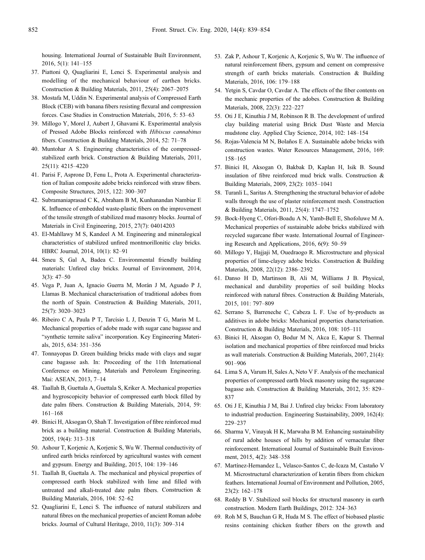<span id="page-13-0"></span>housing. International Journal of Sustainable Built Environment, 2016, 5(1): 141–155

- 37. Piattoni Q, Quagliarini E, Lenci S. Experimental analysis and modelling of the mechanical behaviour of earthen bricks. Construction & Building Materials, 2011, 25(4): 2067–2075
- 38. Mostafa M, Uddin N. Experimental analysis of Compressed Earth Block (CEB) with banana fibers resisting flexural and compression forces. Case Studies in Construction Materials, 2016, 5: 53–63
- 39. Millogo Y, Morel J, Aubert J, Ghavami K. Experimental analysis of Pressed Adobe Blocks reinforced with Hibiscus cannabinus fibers. Construction & Building Materials, 2014, 52: 71–78
- 40. Muntohar A S. Engineering characteristics of the compressedstabilized earth brick. Construction & Building Materials, 2011, 25(11): 4215–4220
- 41. Parisi F, Asprone D, Fenu L, Prota A. Experimental characterization of Italian composite adobe bricks reinforced with straw fibers. Composite Structures, 2015, 122: 300–307
- 42. Subramaniaprasad C K, Abraham B M, Kunhanandan Nambiar E K. Influence of embedded waste-plastic fibers on the improvement of the tensile strength of stabilized mud masonry blocks. Journal of Materials in Civil Engineering, 2015, 27(7): 04014203
- 43. El-Mahllawy M S, Kandeel A M. Engineering and mineralogical characteristics of stabilized unfired montmorillonitic clay bricks. HBRC Journal, 2014, 10(1): 82–91
- 44. Smeu S, Gal A, Badea C. Environmental friendly building materials: Unfired clay bricks. Journal of Environment, 2014, 3(3): 47–50
- 45. Vega P, Juan A, Ignacio Guerra M, Morán J M, Aguado P J, Llamas B. Mechanical characterisation of traditional adobes from the north of Spain. Construction & Building Materials, 2011, 25(7): 3020–3023
- 46. Ribeiro C A, Paula P T, Tarcísio L J, Denzin T G, Marin M L. Mechanical properties of adobe made with sugar cane bagasse and "synthetic termite saliva" incorporation. Key Engineering Materials, 2015, 634: 351–356
- 47. Tonnayopas D. Green building bricks made with clays and sugar cane bagasse ash. In: Proceeding of the 11th International Conference on Mining, Materials and Petroleum Engineering. Mai: ASEAN, 2013, 7–14
- 48. Taallah B, Guettala A, Guettala S, Kriker A. Mechanical properties and hygroscopicity behavior of compressed earth block filled by date palm fibers. Construction & Building Materials, 2014, 59: 161–168
- 49. Binici H, Aksogan O, Shah T. Investigation of fibre reinforced mud brick as a building material. Construction & Building Materials, 2005, 19(4): 313–318
- 50. Ashour T, Korjenic A, Korjenic S, Wu W. Thermal conductivity of unfired earth bricks reinforced by agricultural wastes with cement and gypsum. Energy and Building, 2015, 104: 139–146
- 51. Taallah B, Guettala A. The mechanical and physical properties of compressed earth block stabilized with lime and filled with untreated and alkali-treated date palm fibers. Construction & Building Materials, 2016, 104: 52–62
- 52. Quagliarini E, Lenci S. The influence of natural stabilizers and natural fibres on the mechanical properties of ancient Roman adobe bricks. Journal of Cultural Heritage, 2010, 11(3): 309–314
- 53. Zak P, Ashour T, Korjenic A, Korjenic S, Wu W. The influence of natural reinforcement fibers, gypsum and cement on compressive strength of earth bricks materials. Construction & Building Materials, 2016, 106: 179–188
- 54. Yetgin S, Cavdar O, Cavdar A. The effects of the fiber contents on the mechanic properties of the adobes. Construction & Building Materials, 2008, 22(3): 222–227
- 55. Oti J E, Kinuthia J M, Robinson R B. The development of unfired clay building material using Brick Dust Waste and Mercia mudstone clay. Applied Clay Science, 2014, 102: 148–154
- 56. Rojas-Valencia M N, Bolaños E A. Sustainable adobe bricks with construction wastes. Water Resources Management, 2016, 169: 158–165
- 57. Binici H, Aksogan O, Bakbak D, Kaplan H, Isik B. Sound insulation of fibre reinforced mud brick walls. Construction & Building Materials, 2009, 23(2): 1035–1041
- 58. Turanli L, Saritas A. Strengthening the structural behavior of adobe walls through the use of plaster reinforcement mesh. Construction & Building Materials, 2011, 25(4): 1747–1752
- 59. Bock-Hyeng C, Ofori-Boadu A N, Yamb-Bell E, Shofoluwe M A. Mechanical properties of sustainable adobe bricks stabilized with recycled sugarcane fiber waste. International Journal of Engineering Research and Applications, 2016, 6(9): 50–59
- 60. Millogo Y, Hajjaji M, Ouedraogo R. Microstructure and physical properties of lime-clayey adobe bricks. Construction & Building Materials, 2008, 22(12): 2386–2392
- 61. Danso H D, Martinson B, Ali M, Williams J B. Physical, mechanical and durability properties of soil building blocks reinforced with natural fibres. Construction & Building Materials, 2015, 101: 797–809
- 62. Serrano S, Barreneche C, Cabeza L F. Use of by-products as additives in adobe bricks: Mechanical properties characterisation. Construction & Building Materials, 2016, 108: 105–111
- 63. Binici H, Aksogan O, Bodur M N, Akca E, Kapur S. Thermal isolation and mechanical properties of fibre reinforced mud bricks as wall materials. Construction & Building Materials, 2007, 21(4): 901–906
- 64. Lima S A, Varum H, Sales A, Neto V F. Analysis of the mechanical properties of compressed earth block masonry using the sugarcane bagasse ash. Construction & Building Materials, 2012, 35: 829– 837
- 65. Oti J E, Kinuthia J M, Bai J. Unfired clay bricks: From laboratory to industrial production. Engineering Sustainability, 2009, 162(4): 229–237
- 66. Sharma V, Vinayak H K, Marwaha B M. Enhancing sustainability of rural adobe houses of hills by addition of vernacular fiber reinforcement. International Journal of Sustainable Built Environment, 2015, 4(2): 348–358
- 67. Martínez-Hernandez L, Velasco-Santos C, de-Icaza M, Castaño V M. Microstructural characterization of keratin fibers from chicken feathers. International Journal of Environment and Pollution, 2005, 23(2): 162–178
- 68. Reddy B V. Stabilized soil blocks for structural masonry in earth construction. Modern Earth Buildings, 2012: 324–363
- 69. Roh M S, Bauchan G R, Huda M S. The effect of biobased plastic resins containing chicken feather fibers on the growth and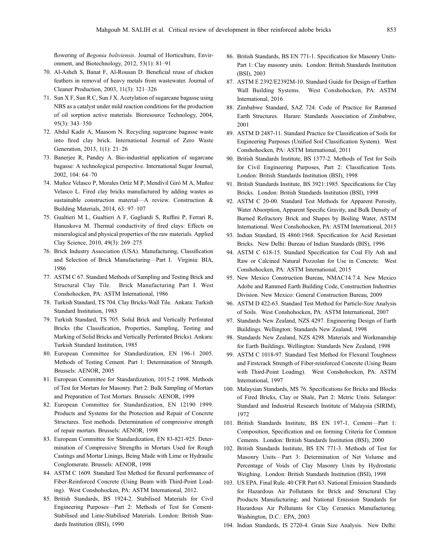<span id="page-14-0"></span>flowering of Begonia boliviensis. Journal of Horticulture, Environment, and Biotechnology, 2012, 53(1): 81–91

- 70. Al-Asheh S, Banat F, Al-Rousan D. Beneficial reuse of chicken feathers in removal of heavy metals from wastewater. Journal of Cleaner Production, 2003, 11(3): 321–326
- 71. Sun X F, Sun R C, Sun J X. Acetylation of sugarcane bagasse using NBS as a catalyst under mild reaction conditions for the production of oil sorption active materials. Bioresource Technology, 2004, 95(3): 343–350
- 72. Abdul Kadir A, Maasom N. Recycling sugarcane bagasse waste into fired clay brick. International Journal of Zero Waste Generation, 2013, 1(1): 21–26
- 73. Banerjee R, Pandey A. Bio-industrial application of sugarcane bagasse: A technological perspective. International Sugar Journal, 2002, 104: 64–70
- 74. Muñoz Velasco P, Morales Ortíz M P, Mendívil Giró M A, Muñoz Velasco L. Fired clay bricks manufactured by adding wastes as sustainable construction material—A review. Construction & Building Materials, 2014, 63: 97–107
- 75. Gualtieri M L, Gualtieri A F, Gagliardi S, Ruffini P, Ferrari R, Hanuskova M. Thermal conductivity of fired clays: Effects on mineralogical and physical properties of the raw materials. Applied Clay Science, 2010, 49(3): 269–275
- 76. Brick Industry Association (USA). Manufacturing, Classification and Selection of Brick Manufacturing—Part I. Virginia: BIA, 1986
- 77. ASTM C 67. Standard Methods of Sampling and Testing Brick and Structural Clay Tile. Brick Manufacturing Part I. West Conshohocken, PA: ASTM International, 1986
- 78. Turkish Standard, TS 704. Clay Bricks-Wall Tile. Ankara: Turkish Standard Institution, 1983
- 79. Turkish Standard, TS 705. Solid Brick and Vertically Perforated Bricks (the Classification, Properties, Sampling, Testing and Marking of Solid Bricks and Vertically Perforated Bricks). Ankara: Turkish Standard Institution, 1985
- 80. European Committee for Standardization, EN 196-1 2005. Methods of Testing Cement. Part 1: Determination of Strength. Brussels: AENOR, 2005
- 81. European Committee for Standardization, 1015-2 1998. Methods of Test for Mortars for Masonry. Part 2: Bulk Sampling of Mortars and Preparation of Test Mortars. Brussels: AENOR, 1999
- 82. European Committee for Standardization, EN 12190 1999. Products and Systems for the Protection and Repair of Concrete Structures. Test methods. Determination of compressive strength of repair mortars. Brussels: AENOR, 1998
- 83. European Committee for Standardization, EN 83-821-925. Determination of Compressive Strengths in Mortars Used for Rough Castings and Mortar Linings, Being Made with Lime or Hydraulic Conglomerate. Brussels: AENOR, 1998
- 84. ASTM C 1609. Standard Test Method for flexural performance of Fiber-Reinforced Concrete (Using Beam with Third-Point Loading). West Conshohocken, PA: ASTM International, 2012.
- 85. British Standards, BS 1924-2. Stabilised Materials for Civil Engineering Purposes—Part 2: Methods of Test for Cement-Stabilised and Lime-Stabilised Materials. London: British Standards Institution (BSI), 1990
- 86. British Standards, BS EN 771-1. Specification for Masonry Units-Part 1: Clay masonry units. London: British Standards Institution (BSI), 2003
- 87. ASTM E 2392/E2392M-10. Standard Guide for Design of Earthen Wall Building Systems. West Conshohocken, PA: ASTM International, 2016
- 88. Zimbabwe Standard, SAZ 724. Code of Practice for Rammed Earth Structures. Harare: Standards Association of Zimbabwe, 2001
- 89. ASTM D 2487-11. Standard Practice for Classification of Soils for Engineering Purposes (Unified Soil Classification System). West Conshohocken, PA: ASTM International, 2011
- 90. British Standards Institute, BS 1377-2. Methods of Test for Soils for Civil Engineering Purposes, Part 2: Classification Tests. London: British Standards Institution (BSI), 1998
- 91. British Standards Institute, BS 3921:1985. Specifications for Clay Bricks. London: British Standards Institution (BSI), 1998
- 92. ASTM C 20-00. Standard Test Methods for Apparent Porosity, Water Absorption, Apparent Specific Gravity, and Bulk Density of Burned Refractory Brick and Shapes by Boiling Water, ASTM International. West Conshohocken, PA: ASTM International, 2015
- 93. Indian Standard, IS 4860:1968. Specification for Acid Resistant Bricks. New Delhi: Bureau of Indian Standards (BIS), 1996
- 94. ASTM C 618-15. Standard Specification for Coal Fly Ash and Raw or Calcined Natural Pozzolan for Use in Concrete. West Conshohocken, PA: ASTM International, 2015
- 95. New Mexico Construction Bureau, NMAC14.7.4. New Mexico Adobe and Rammed Earth Building Code, Construction Industries Division. New Mexico: General Construction Bureau, 2009
- 96. ASTM D 422-63. Standard Test Method for Particle-Size Analysis of Soils. West Conshohocken, PA: ASTM International, 2007
- 97. Standards New Zealand, NZS 4297. Engineering Design of Earth Buildings. Wellington: Standards New Zealand, 1998
- 98. Standards New Zealand, NZS 4298. Materials and Workmanship for Earth Buildings. Wellington: Standards New Zealand, 1998
- 99. ASTM C 1018-97. Standard Test Method for Flexural Toughness and Firstcrack Strength of Fiber-reinforced Concrete (Using Beam with Third-Point Loading). West Conshohocken, PA: ASTM International, 1997
- 100. Malaysian Standards, MS 76. Specifications for Bricks and Blocks of Fired Bricks, Clay or Shale, Part 2: Metric Units. Selangor: Standard and Industrial Research Institute of Malaysia (SIRIM), 1972
- 101. British Standards Institute, BS EN 197-1. Cement—Part 1: Composition, Specification and on forming Criteria for Common Cements. London: British Standards Institution (BSI), 2000
- 102. British Standards Institute, BS EN 771-3. Methods of Test for Masonry Units—Part 3: Determination of Net Volume and Percentage of Voids of Clay Masonry Units by Hydrostatic Weighing. London: British Standards Institution (BSI), 1998
- 103. US EPA. Final Rule. 40 CFR Part 63. National Emission Standards for Hazardous Air Pollutants for Brick and Structural Clay Products Manufacturing; and National Emission Standards for Hazardous Air Pollutants for Clay Ceramics Manufacturing. Washington, D.C.: EPA, 2003
- 104. Indian Standards, IS 2720-4. Grain Size Analysis. New Delhi: